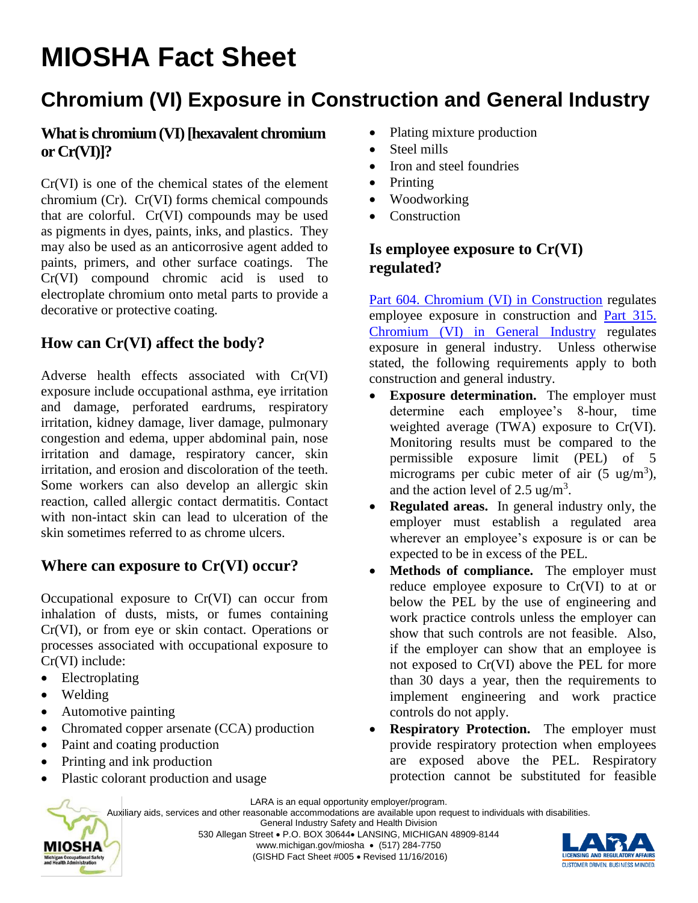# **MIOSHA Fact Sheet**

## **Chromium (VI) Exposure in Construction and General Industry**

#### **What is chromium (VI) [hexavalent chromium or Cr(VI)]?**

Cr(VI) is one of the chemical states of the element chromium (Cr). Cr(VI) forms chemical compounds that are colorful. Cr(VI) compounds may be used as pigments in dyes, paints, inks, and plastics. They may also be used as an anticorrosive agent added to paints, primers, and other surface coatings. The Cr(VI) compound chromic acid is used to electroplate chromium onto metal parts to provide a decorative or protective coating.

#### **How can Cr(VI) affect the body?**

Adverse health effects associated with Cr(VI) exposure include occupational asthma, eye irritation and damage, perforated eardrums, respiratory irritation, kidney damage, liver damage, pulmonary congestion and edema, upper abdominal pain, nose irritation and damage, respiratory cancer, skin irritation, and erosion and discoloration of the teeth. Some workers can also develop an allergic skin reaction, called allergic contact dermatitis. Contact with non-intact skin can lead to ulceration of the skin sometimes referred to as chrome ulcers.

#### **Where can exposure to Cr(VI) occur?**

Occupational exposure to Cr(VI) can occur from inhalation of dusts, mists, or fumes containing Cr(VI), or from eye or skin contact. Operations or processes associated with occupational exposure to Cr(VI) include:

- Electroplating
- Welding

MIOSHA

- Automotive painting
- Chromated copper arsenate (CCA) production
- Paint and coating production
- Printing and ink production
- Plastic colorant production and usage
- Plating mixture production
- Steel mills
- Iron and steel foundries
- Printing
- Woodworking
- Construction

#### **Is employee exposure to Cr(VI) regulated?**

[Part 604. Chromium \(VI\) in Construction](http://www.michigan.gov/documents/CIS_WSH_part604_166890_7.pdf) regulates employee exposure in construction and [Part 315.](http://www.michigan.gov/documents/CIS_WSH_part315_166667_7.pdf)  [Chromium \(VI\) in General Industry](http://www.michigan.gov/documents/CIS_WSH_part315_166667_7.pdf) regulates exposure in general industry. Unless otherwise stated, the following requirements apply to both construction and general industry.

- **Exposure determination.** The employer must determine each employee's 8-hour, time weighted average (TWA) exposure to Cr(VI). Monitoring results must be compared to the permissible exposure limit (PEL) of 5 micrograms per cubic meter of air  $(5 \text{ ug/m}^3)$ , and the action level of 2.5 ug/m<sup>3</sup>.
- **Regulated areas.** In general industry only, the employer must establish a regulated area wherever an employee's exposure is or can be expected to be in excess of the PEL.
- Methods of compliance. The employer must reduce employee exposure to Cr(VI) to at or below the PEL by the use of engineering and work practice controls unless the employer can show that such controls are not feasible. Also, if the employer can show that an employee is not exposed to Cr(VI) above the PEL for more than 30 days a year, then the requirements to implement engineering and work practice controls do not apply.
- **Respiratory Protection.** The employer must provide respiratory protection when employees are exposed above the PEL. Respiratory protection cannot be substituted for feasible

LARA is an equal opportunity employer/program.

Auxiliary aids, services and other reasonable accommodations are available upon request to individuals with disabilities.

General Industry Safety and Health Division 530 Allegan Street P.O. BOX 30644 LANSING, MICHIGAN 48909-8144

www.michigan.gov/miosha • (517) 284-7750 (GISHD Fact Sheet #005 Revised 11/16/2016)